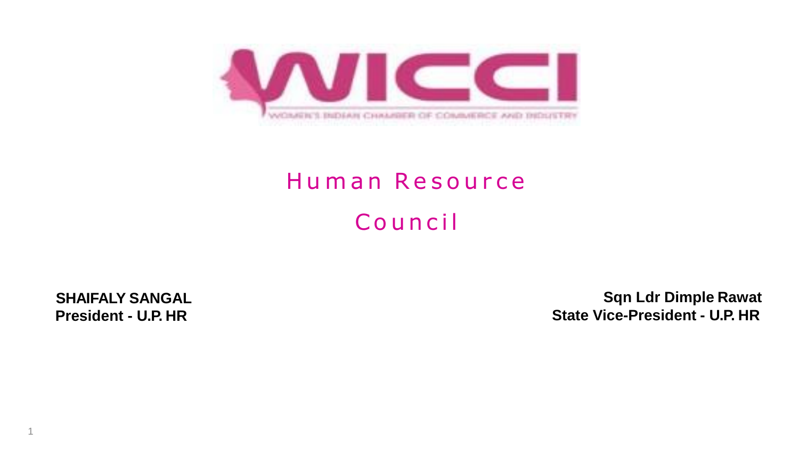

# Human Resource

# **Council**

**SHAIFALY SANGAL President - U.P. HR**

1

**Sqn Ldr Dimple Rawat State Vice-President - U.P. HR**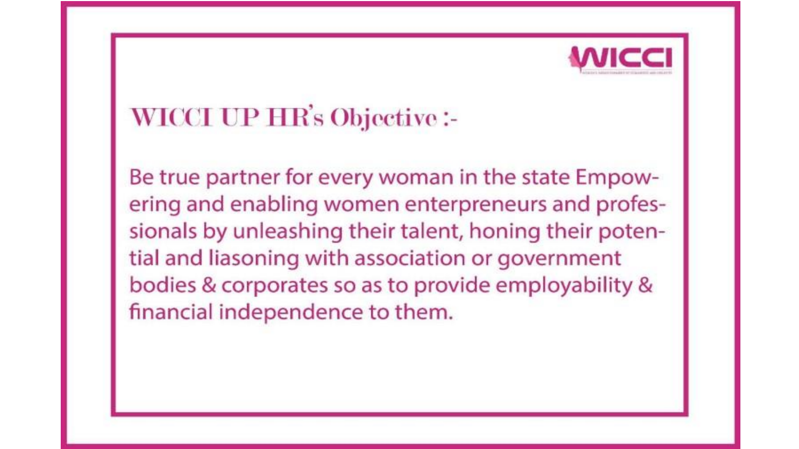

# **WICCI UP HR's Objective:-**

Be true partner for every woman in the state Empowering and enabling women enterpreneurs and professionals by unleashing their talent, honing their potential and liasoning with association or government bodies & corporates so as to provide employability & financial independence to them.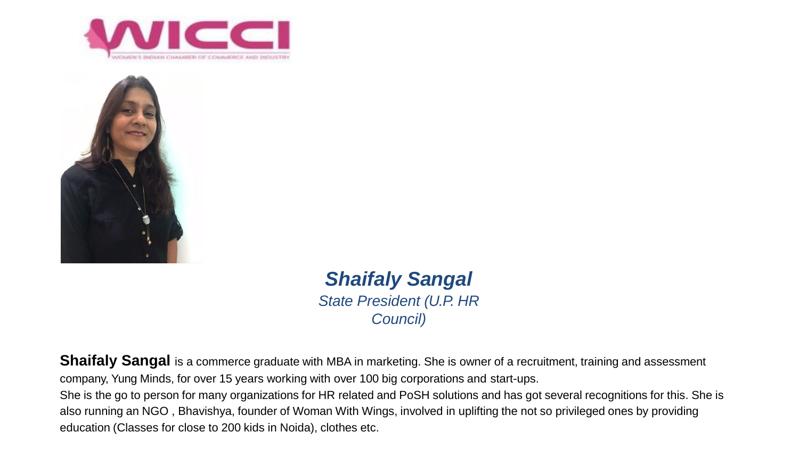



*Shaifaly Sangal State President (U.P. HR Council)*

**Shaifaly Sangal** is a commerce graduate with MBA in marketing. She is owner of a recruitment, training and assessment company, Yung Minds, for over 15 years working with over 100 big corporations and start-ups. She is the go to person for many organizations for HR related and PoSH solutions and has got several recognitions for this. She is also running an NGO , Bhavishya, founder of Woman With Wings, involved in uplifting the not so privileged ones by providing education (Classes for close to 200 kids in Noida), clothes etc.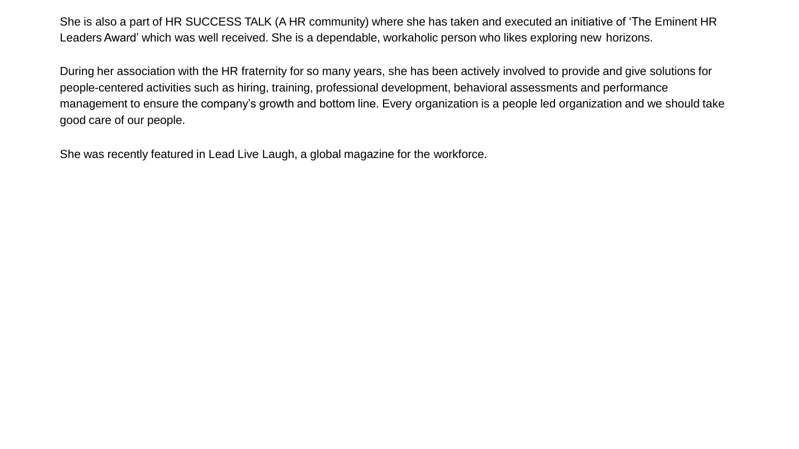She is also a part of HR SUCCESS TALK (A HR community) where she has taken and executed an initiative of "The Eminent HR Leaders Award" which was well received. She is a dependable, workaholic person who likes exploring new horizons.

During her association with the HR fraternity for so many years, she has been actively involved to provide and give solutions for people-centered activities such as hiring, training, professional development, behavioral assessments and performance management to ensure the company"s growth and bottom line. Every organization is a people led organization and we should take good care of our people.

She was recently featured in Lead Live Laugh, a global magazine for the workforce.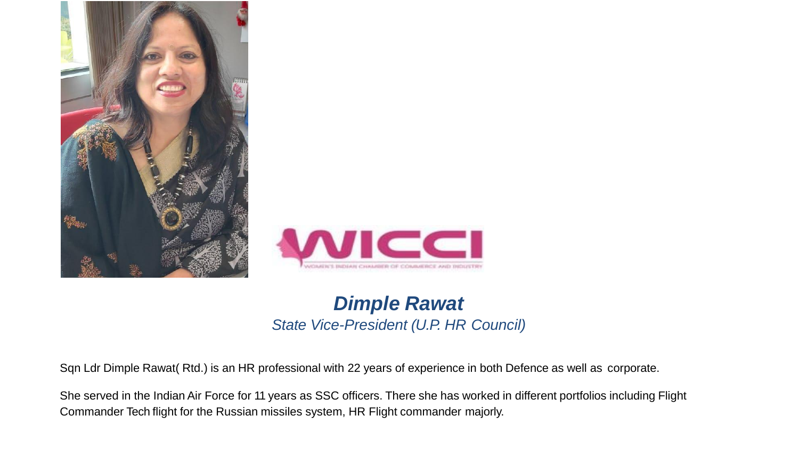



## *Dimple Rawat State Vice-President (U.P. HR Council)*

Sqn Ldr Dimple Rawat( Rtd.) is an HR professional with 22 years of experience in both Defence as well as corporate.

She served in the Indian Air Force for 11 years as SSC officers. There she has worked in different portfolios including Flight Commander Tech flight for the Russian missiles system, HR Flight commander majorly.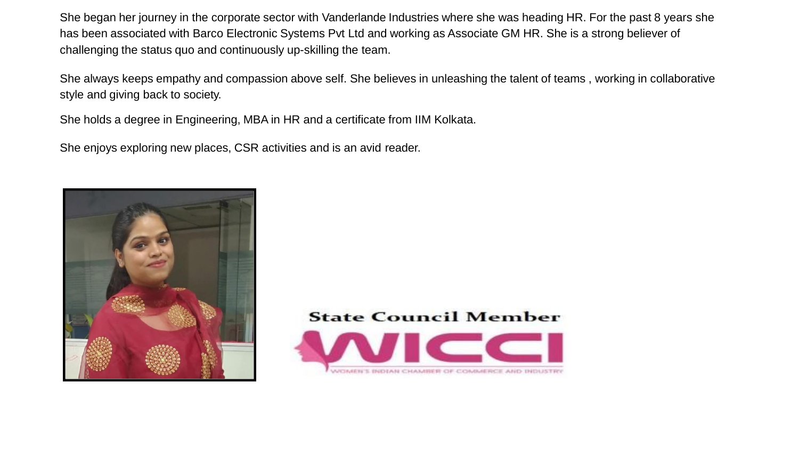She began her journey in the corporate sector with Vanderlande Industries where she was heading HR. For the past 8 years she has been associated with Barco Electronic Systems Pvt Ltd and working as Associate GM HR. She is a strong believer of challenging the status quo and continuously up-skilling the team.

She always keeps empathy and compassion above self. She believes in unleashing the talent of teams , working in collaborative style and giving back to society.

She holds a degree in Engineering, MBA in HR and a certificate from IIM Kolkata.

She enjoys exploring new places, CSR activities and is an avid reader.





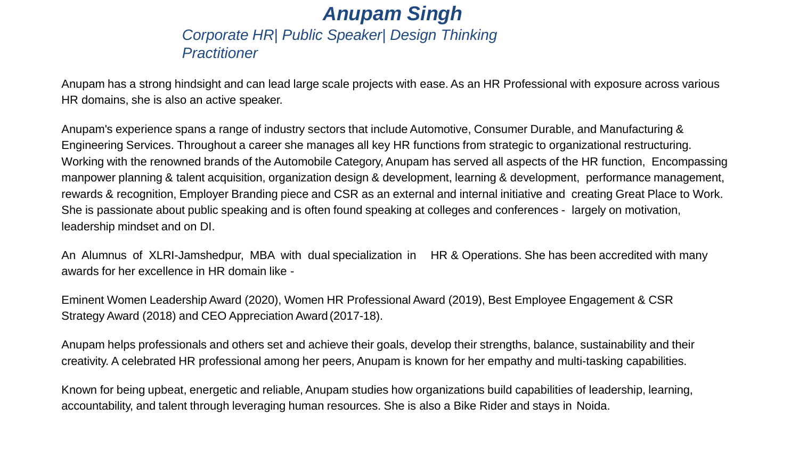### *Anupam Singh Corporate HR| Public Speaker| Design Thinking Practitioner*

Anupam has a strong hindsight and can lead large scale projects with ease. As an HR Professional with exposure across various HR domains, she is also an active speaker.

Anupam's experience spans a range of industry sectors that include Automotive, Consumer Durable, and Manufacturing & Engineering Services. Throughout a career she manages all key HR functions from strategic to organizational restructuring. Working with the renowned brands of the Automobile Category, Anupam has served all aspects of the HR function, Encompassing manpower planning & talent acquisition, organization design & development, learning & development, performance management, rewards & recognition, Employer Branding piece and CSR as an external and internal initiative and creating Great Place to Work. She is passionate about public speaking and is often found speaking at colleges and conferences - largely on motivation, leadership mindset and on DI.

An Alumnus of XLRI-Jamshedpur, MBA with dual specialization in HR & Operations. She has been accredited with many awards for her excellence in HR domain like -

Eminent Women Leadership Award (2020), Women HR Professional Award (2019), Best Employee Engagement & CSR Strategy Award (2018) and CEO Appreciation Award(2017-18).

Anupam helps professionals and others set and achieve their goals, develop their strengths, balance, sustainability and their creativity. A celebrated HR professional among her peers, Anupam is known for her empathy and multi-tasking capabilities.

Known for being upbeat, energetic and reliable, Anupam studies how organizations build capabilities of leadership, learning, accountability, and talent through leveraging human resources. She is also a Bike Rider and stays in Noida.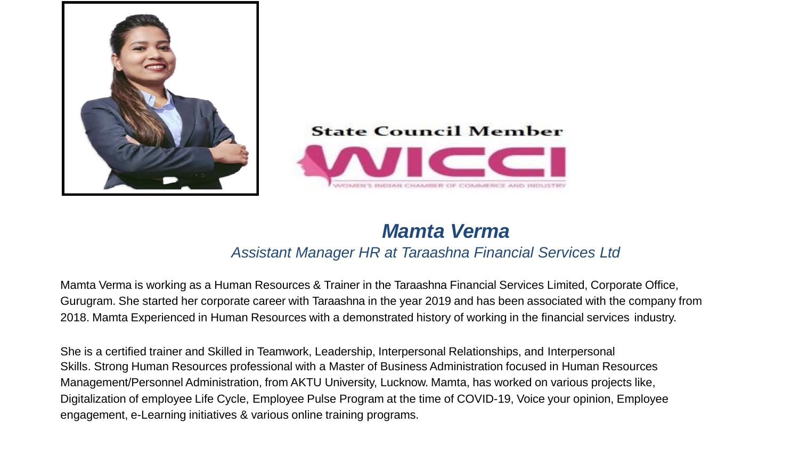



## *Mamta Verma Assistant Manager HR at Taraashna Financial Services Ltd*

Mamta Verma is working as a Human Resources & Trainer in the Taraashna Financial Services Limited, Corporate Office, Gurugram. She started her corporate career with Taraashna in the year 2019 and has been associated with the company from 2018. Mamta Experienced in Human Resources with a demonstrated history of working in the financial services industry.

She is a certified trainer and Skilled in Teamwork, Leadership, Interpersonal Relationships, and Interpersonal Skills. Strong Human Resources professional with a Master of Business Administration focused in Human Resources Management/Personnel Administration, from AKTU University, Lucknow. Mamta, has worked on various projects like, Digitalization of employee Life Cycle, Employee Pulse Program at the time of COVID-19, Voice your opinion, Employee engagement, e-Learning initiatives & various online training programs.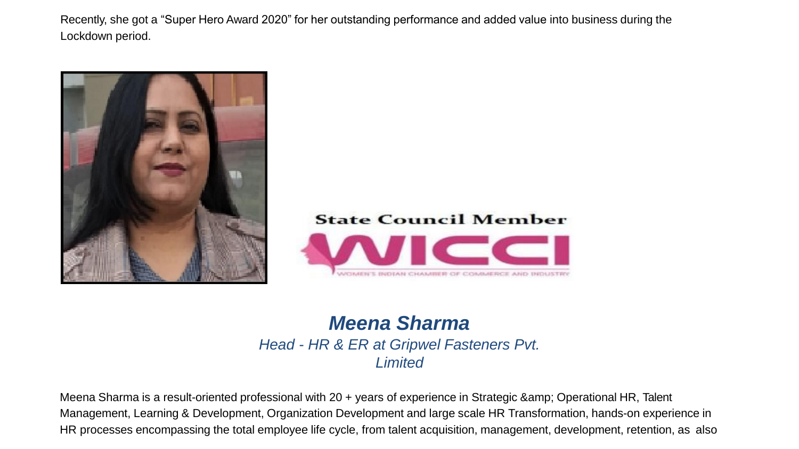Recently, she got a "Super Hero Award 2020" for her outstanding performance and added value into business during the Lockdown period.



#### **State Council Member**



### *Meena Sharma Head - HR & ER at Gripwel Fasteners Pvt. Limited*

Meena Sharma is a result-oriented professional with 20 + years of experience in Strategic & amp; Operational HR, Talent Management, Learning & Development, Organization Development and large scale HR Transformation, hands-on experience in HR processes encompassing the total employee life cycle, from talent acquisition, management, development, retention, as also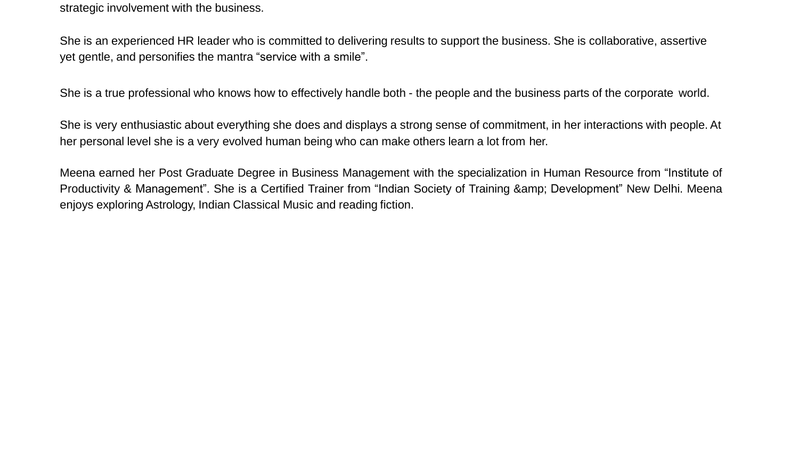strategic involvement with the business.

She is an experienced HR leader who is committed to delivering results to support the business. She is collaborative, assertive yet gentle, and personifies the mantra "service with a smile".

She is a true professional who knows how to effectively handle both - the people and the business parts of the corporate world.

She is very enthusiastic about everything she does and displays a strong sense of commitment, in her interactions with people. At her personal level she is a very evolved human being who can make others learn a lot from her.

Meena earned her Post Graduate Degree in Business Management with the specialization in Human Resource from "Institute of Productivity & Management". She is a Certified Trainer from "Indian Society of Training & amp; Development" New Delhi. Meena enjoys exploring Astrology, Indian Classical Music and reading fiction.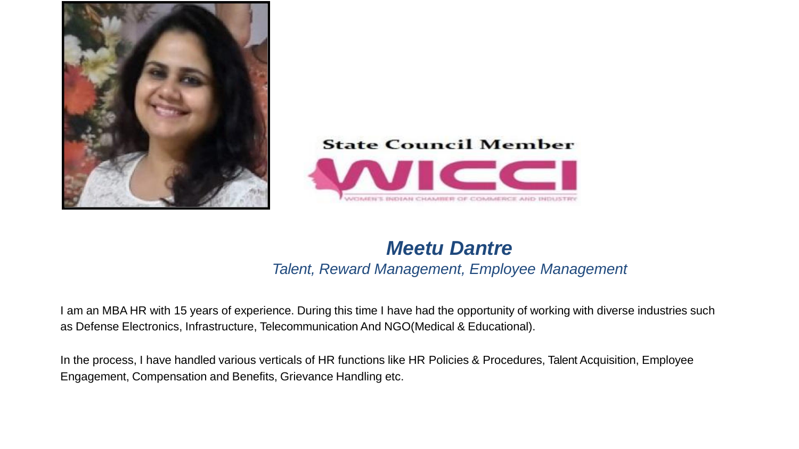



# *Meetu Dantre*

#### *Talent, Reward Management, Employee Management*

I am an MBA HR with 15 years of experience. During this time I have had the opportunity of working with diverse industries such as Defense Electronics, Infrastructure, Telecommunication And NGO(Medical & Educational).

In the process, I have handled various verticals of HR functions like HR Policies & Procedures, Talent Acquisition, Employee Engagement, Compensation and Benefits, Grievance Handling etc.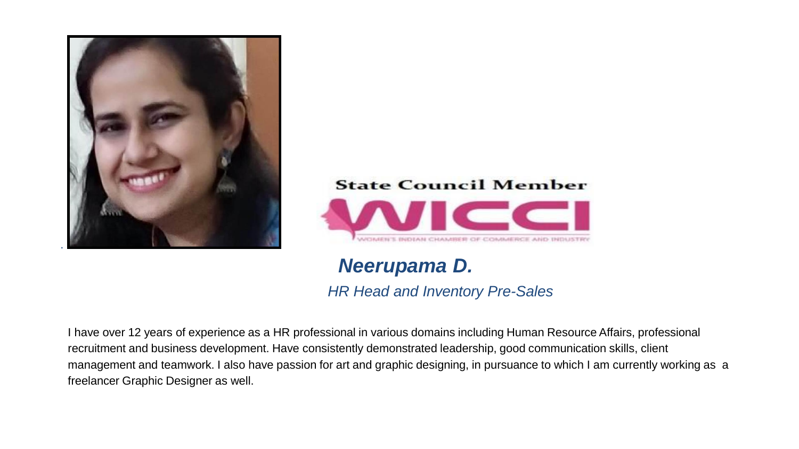



# *Neerupama D.*

*HR Head and Inventory Pre-Sales*

I have over 12 years of experience as a HR professional in various domains including Human Resource Affairs, professional recruitment and business development. Have consistently demonstrated leadership, good communication skills, client management and teamwork. I also have passion for art and graphic designing, in pursuance to which I am currently working as a freelancer Graphic Designer as well.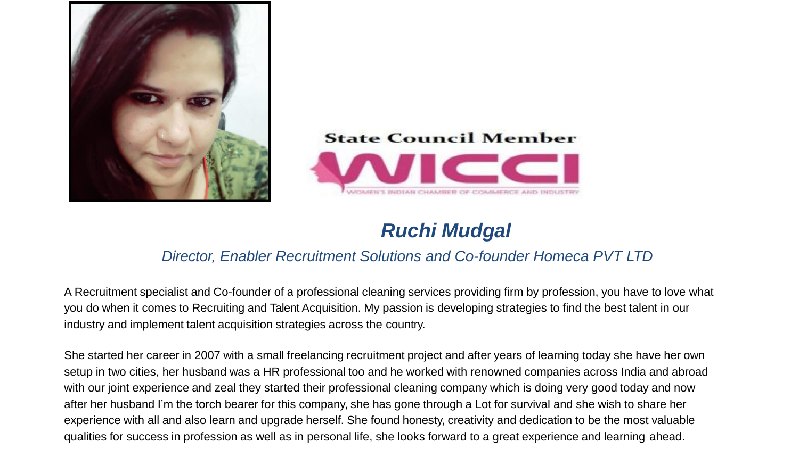



# *Ruchi Mudgal*

#### *Director, Enabler Recruitment Solutions and Co-founder Homeca PVT LTD*

A Recruitment specialist and Co-founder of a professional cleaning services providing firm by profession, you have to love what you do when it comes to Recruiting and Talent Acquisition. My passion is developing strategies to find the best talent in our industry and implement talent acquisition strategies across the country.

She started her career in 2007 with a small freelancing recruitment project and after years of learning today she have her own setup in two cities, her husband was a HR professional too and he worked with renowned companies across India and abroad with our joint experience and zeal they started their professional cleaning company which is doing very good today and now after her husband I"m the torch bearer for this company, she has gone through a Lot for survival and she wish to share her experience with all and also learn and upgrade herself. She found honesty, creativity and dedication to be the most valuable qualities for success in profession as well as in personal life, she looks forward to a great experience and learning ahead.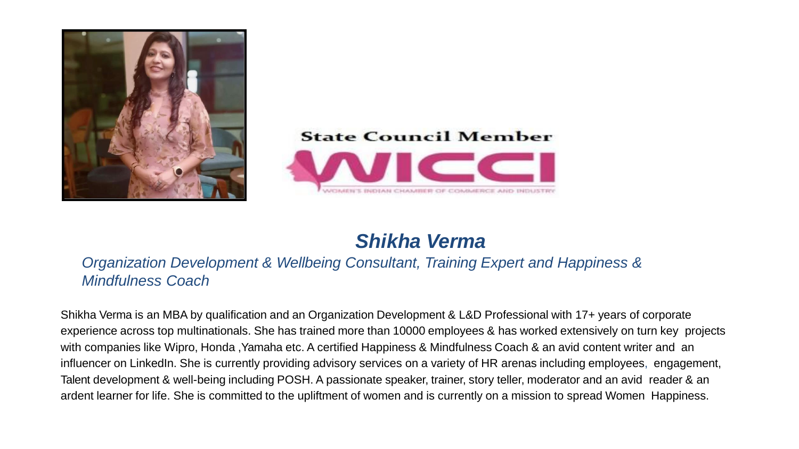



## *Shikha Verma*

#### *Organization Development & Wellbeing Consultant, Training Expert and Happiness & Mindfulness Coach*

Shikha Verma is an MBA by qualification and an Organization Development & L&D Professional with 17+ years of corporate experience across top multinationals. She has trained more than 10000 employees & has worked extensively on turn key projects with companies like Wipro, Honda ,Yamaha etc. A certified Happiness & Mindfulness Coach & an avid content writer and an influencer on LinkedIn. She is currently providing advisory services on a variety of HR arenas including employees, engagement, Talent development & well-being including POSH. A passionate speaker, trainer, story teller, moderator and an avid reader & an ardent learner for life. She is committed to the upliftment of women and is currently on a mission to spread Women Happiness.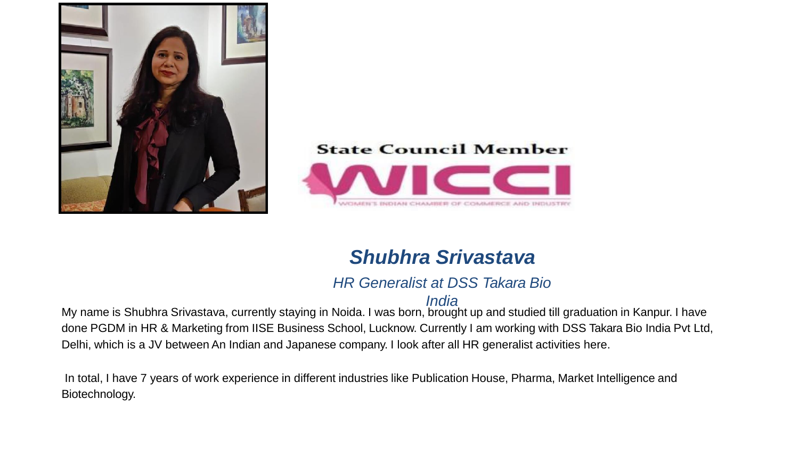



# *Shubhra Srivastava*

#### *HR Generalist at DSS Takara Bio*

#### *India*

My name is Shubhra Srivastava, currently staying in Noida. I was born, brought up and studied till graduation in Kanpur. I have done PGDM in HR & Marketing from IISE Business School, Lucknow. Currently I am working with DSS Takara Bio India Pvt Ltd, Delhi, which is a JV between An Indian and Japanese company. I look after all HR generalist activities here.

In total, I have 7 years of work experience in different industries like Publication House, Pharma, Market Intelligence and Biotechnology.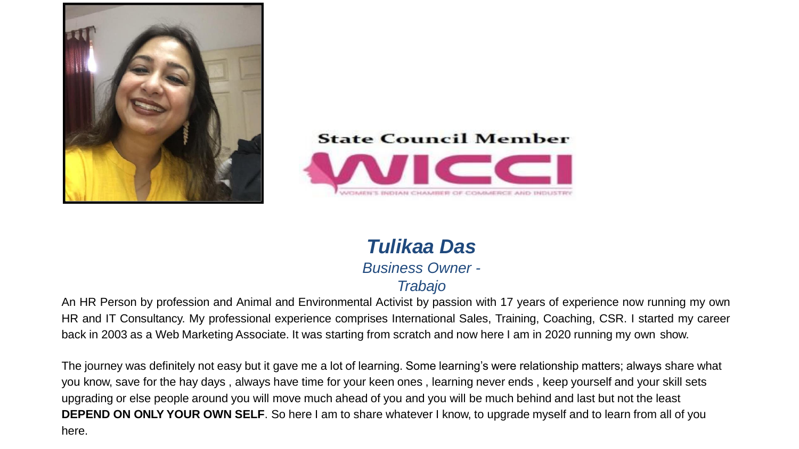

**State Council Member** 

**IOTAN CHAMBER OF COMMERCE AND** 

## *Tulikaa Das Business Owner - Trabajo*

An HR Person by profession and Animal and Environmental Activist by passion with 17 years of experience now running my own HR and IT Consultancy. My professional experience comprises International Sales, Training, Coaching, CSR. I started my career back in 2003 as a Web Marketing Associate. It was starting from scratch and now here I am in 2020 running my own show.

The journey was definitely not easy but it gave me a lot of learning. Some learning"s were relationship matters; always share what you know, save for the hay days , always have time for your keen ones , learning never ends , keep yourself and your skill sets upgrading or else people around you will move much ahead of you and you will be much behind and last but not the least **DEPEND ON ONLY YOUR OWN SELF**. So here I am to share whatever I know, to upgrade myself and to learn from all of you here.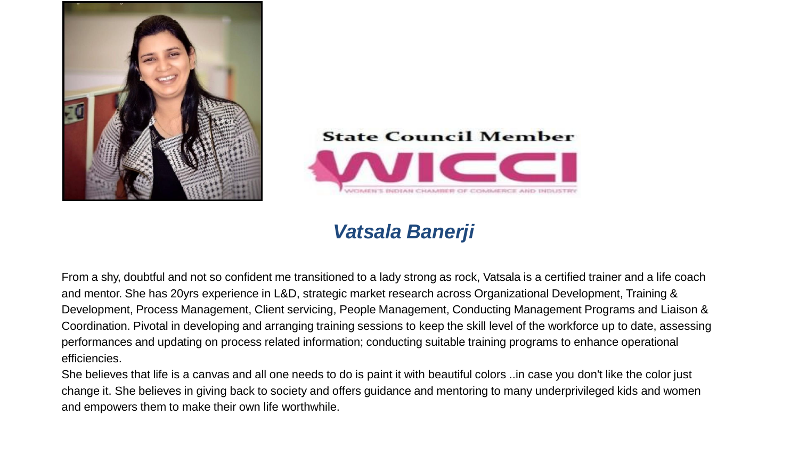



# *Vatsala Banerji*

From a shy, doubtful and not so confident me transitioned to a lady strong as rock, Vatsala is a certified trainer and a life coach and mentor. She has 20yrs experience in L&D, strategic market research across Organizational Development, Training & Development, Process Management, Client servicing, People Management, Conducting Management Programs and Liaison & Coordination. Pivotal in developing and arranging training sessions to keep the skill level of the workforce up to date, assessing performances and updating on process related information; conducting suitable training programs to enhance operational efficiencies.

She believes that life is a canvas and all one needs to do is paint it with beautiful colors ..in case you don't like the color just change it. She believes in giving back to society and offers guidance and mentoring to many underprivileged kids and women and empowers them to make their own life worthwhile.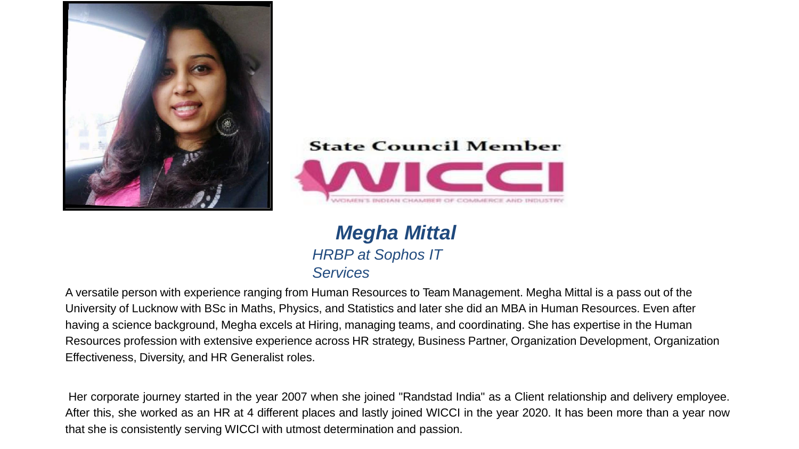



## *Megha Mittal HRBP at Sophos IT Services*

A versatile person with experience ranging from Human Resources to Team Management. Megha Mittal is a pass out of the University of Lucknow with BSc in Maths, Physics, and Statistics and later she did an MBA in Human Resources. Even after having a science background, Megha excels at Hiring, managing teams, and coordinating. She has expertise in the Human Resources profession with extensive experience across HR strategy, Business Partner, Organization Development, Organization Effectiveness, Diversity, and HR Generalist roles.

Her corporate journey started in the year 2007 when she joined "Randstad India" as a Client relationship and delivery employee. After this, she worked as an HR at 4 different places and lastly joined WICCI in the year 2020. It has been more than a year now that she is consistently serving WICCI with utmost determination and passion.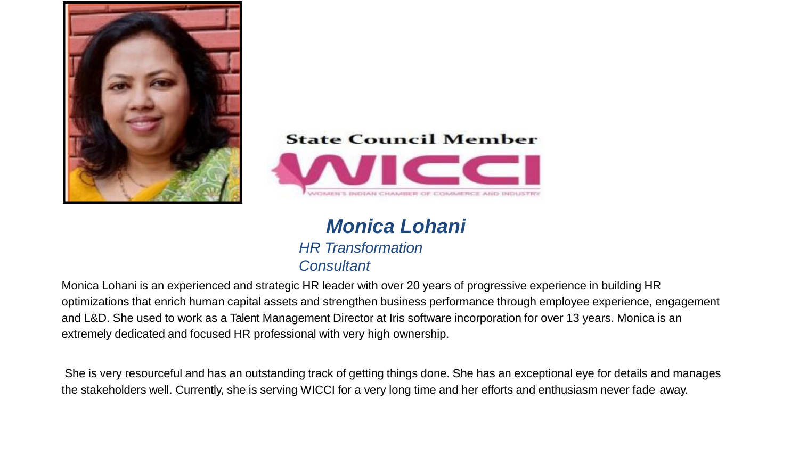

**State Council Member** 

**INDIAN CHAMBER OF COMMERCE AND** 

*Monica Lohani HR Transformation Consultant*

Monica Lohani is an experienced and strategic HR leader with over 20 years of progressive experience in building HR optimizations that enrich human capital assets and strengthen business performance through employee experience, engagement and L&D. She used to work as a Talent Management Director at Iris software incorporation for over 13 years. Monica is an extremely dedicated and focused HR professional with very high ownership.

She is very resourceful and has an outstanding track of getting things done. She has an exceptional eye for details and manages the stakeholders well. Currently, she is serving WICCI for a very long time and her efforts and enthusiasm never fade away.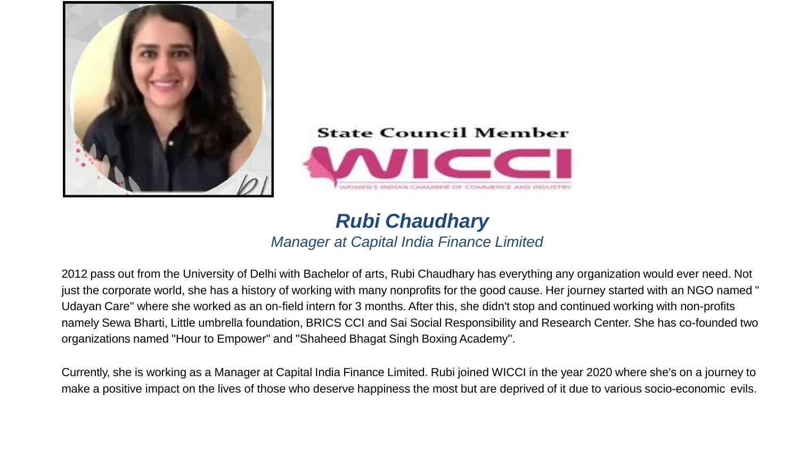



## *Rubi Chaudhary Manager at Capital India Finance Limited*

2012 pass out from the University of Delhi with Bachelor of arts, Rubi Chaudhary has everything any organization would ever need. Not just the corporate world, she has a history of working with many nonprofits for the good cause. Her journey started with an NGO named " Udayan Care'' where she worked as an on-field intern for 3 months. After this, she didn't stop and continued working with non-profits namely Sewa Bharti, Little umbrella foundation, BRICS CCI and Sai Social Responsibility and Research Center. She has co-founded two organizations named "Hour to Empower'' and "Shaheed Bhagat Singh Boxing Academy''.

Currently, she is working as a Manager at Capital India Finance Limited. Rubi joined WICCI in the year 2020 where she's on a journey to make a positive impact on the lives of those who deserve happiness the most but are deprived of it due to various socio-economic evils.